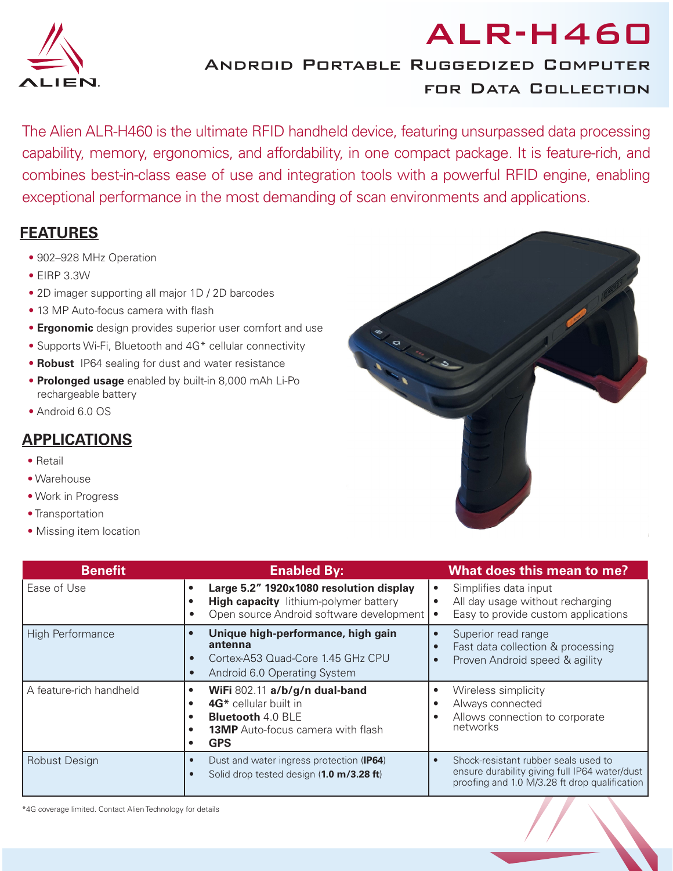

## Android Portable Ruggedized Computer for Data Collection

The Alien ALR-H460 is the ultimate RFID handheld device, featuring unsurpassed data processing capability, memory, ergonomics, and affordability, in one compact package. It is feature-rich, and combines best-in-class ease of use and integration tools with a powerful RFID engine, enabling exceptional performance in the most demanding of scan environments and applications.

## **FEATURES**

- 902–928 MHz Operation
- EIRP 3.3W
- 2D imager supporting all major 1D / 2D barcodes
- 13 MP Auto-focus camera with flash
- **Ergonomic** design provides superior user comfort and use
- Supports Wi-Fi, Bluetooth and 4G\* cellular connectivity
- **Robust** IP64 sealing for dust and water resistance
- **Prolonged usage** enabled by built-in 8,000 mAh Li-Po rechargeable battery
- Android 6.0 OS

## **APPLICATIONS**

- Retail
- Warehouse
- Work in Progress
- Transportation
- Missing item location

| <b>Benefit</b>          | <b>Enabled By:</b>                                                                                                                                                                           | What does this mean to me?                                                                                                                          |
|-------------------------|----------------------------------------------------------------------------------------------------------------------------------------------------------------------------------------------|-----------------------------------------------------------------------------------------------------------------------------------------------------|
| Ease of Use             | Large 5.2" 1920x1080 resolution display<br>$\bullet$<br><b>High capacity</b> lithium-polymer battery<br>٠<br>Open source Android software development<br>$\bullet$                           | Simplifies data input<br>All day usage without recharging<br>$\bullet$<br>Easy to provide custom applications                                       |
| <b>High Performance</b> | Unique high-performance, high gain<br>$\bullet$<br>antenna<br>Cortex-A53 Quad-Core 1.45 GHz CPU<br>Android 6.0 Operating System<br>$\bullet$                                                 | Superior read range<br>Fast data collection & processing<br>Proven Android speed & agility                                                          |
| A feature-rich handheld | WiFi 802.11 a/b/g/n dual-band<br>٠<br>4G <sup>*</sup> cellular built in<br>$\bullet$<br><b>Bluetooth 4.0 BLE</b><br>$\bullet$<br><b>13MP</b> Auto-focus camera with flash<br>٠<br><b>GPS</b> | Wireless simplicity<br>Always connected<br>Allows connection to corporate<br>networks                                                               |
| <b>Robust Design</b>    | Dust and water ingress protection (IP64)<br>$\bullet$<br>Solid drop tested design (1.0 m/3.28 ft)                                                                                            | Shock-resistant rubber seals used to<br>$\bullet$<br>ensure durability giving full IP64 water/dust<br>proofing and 1.0 M/3.28 ft drop qualification |



ALR-H460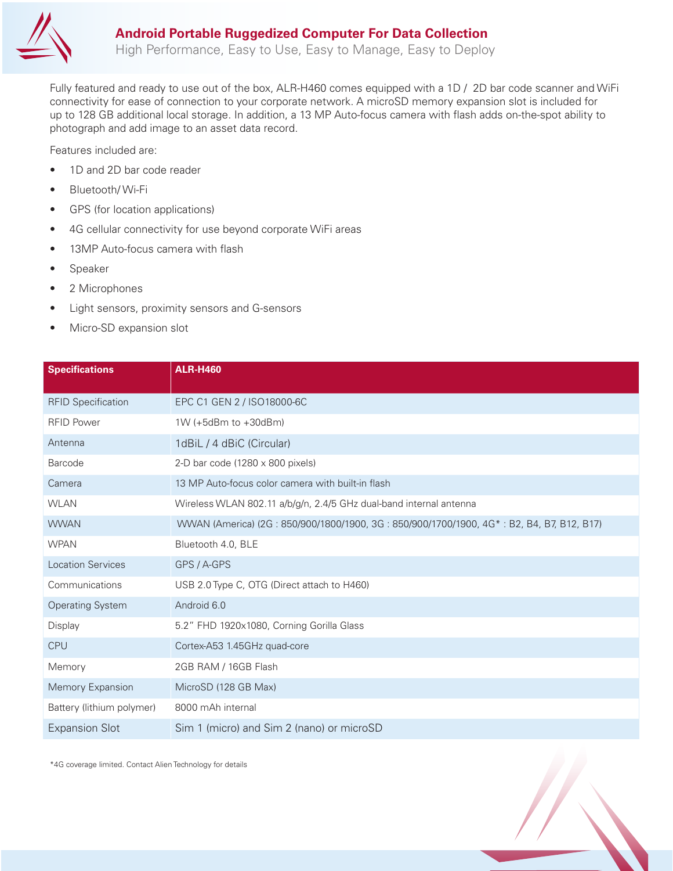

High Performance, Easy to Use, Easy to Manage, Easy to Deploy

Fully featured and ready to use out of the box, ALR-H460 comes equipped with a 1D / 2D bar code scanner and WiFi connectivity for ease of connection to your corporate network. A microSD memory expansion slot is included for up to 128 GB additional local storage. In addition, a 13 MP Auto-focus camera with flash adds on-the-spot ability to photograph and add image to an asset data record.

Features included are:

- 1D and 2D bar code reader
- Bluetooth/ Wi-Fi
- GPS (for location applications)
- 4G cellular connectivity for use beyond corporate WiFi areas
- 13MP Auto-focus camera with flash
- Speaker
- 2 Microphones
- Light sensors, proximity sensors and G-sensors
- Micro-SD expansion slot

| <b>Specifications</b>     | <b>ALR-H460</b>                                                                          |
|---------------------------|------------------------------------------------------------------------------------------|
| <b>RFID Specification</b> | EPC C1 GEN 2 / ISO18000-6C                                                               |
| <b>RFID Power</b>         | $1W$ (+5dBm to +30dBm)                                                                   |
| Antenna                   | 1dBiL / 4 dBiC (Circular)                                                                |
| Barcode                   | 2-D bar code (1280 $\times$ 800 pixels)                                                  |
| Camera                    | 13 MP Auto-focus color camera with built-in flash                                        |
| <b>WLAN</b>               | Wireless WLAN 802.11 a/b/g/n, 2.4/5 GHz dual-band internal antenna                       |
| <b>WWAN</b>               | WWAN (America) (2G: 850/900/1800/1900, 3G: 850/900/1700/1900, 4G*: B2, B4, B7, B12, B17) |
| <b>WPAN</b>               | Bluetooth 4.0, BLE                                                                       |
| <b>Location Services</b>  | GPS / A-GPS                                                                              |
| Communications            | USB 2.0 Type C, OTG (Direct attach to H460)                                              |
| <b>Operating System</b>   | Android 6.0                                                                              |
| Display                   | 5.2" FHD 1920x1080, Corning Gorilla Glass                                                |
| <b>CPU</b>                | Cortex-A53 1.45GHz quad-core                                                             |
| Memory                    | 2GB RAM / 16GB Flash                                                                     |
| Memory Expansion          | MicroSD (128 GB Max)                                                                     |
| Battery (lithium polymer) | 8000 mAh internal                                                                        |
| <b>Expansion Slot</b>     | Sim 1 (micro) and Sim 2 (nano) or microSD                                                |

\*4G coverage limited. Contact Alien Technology for details

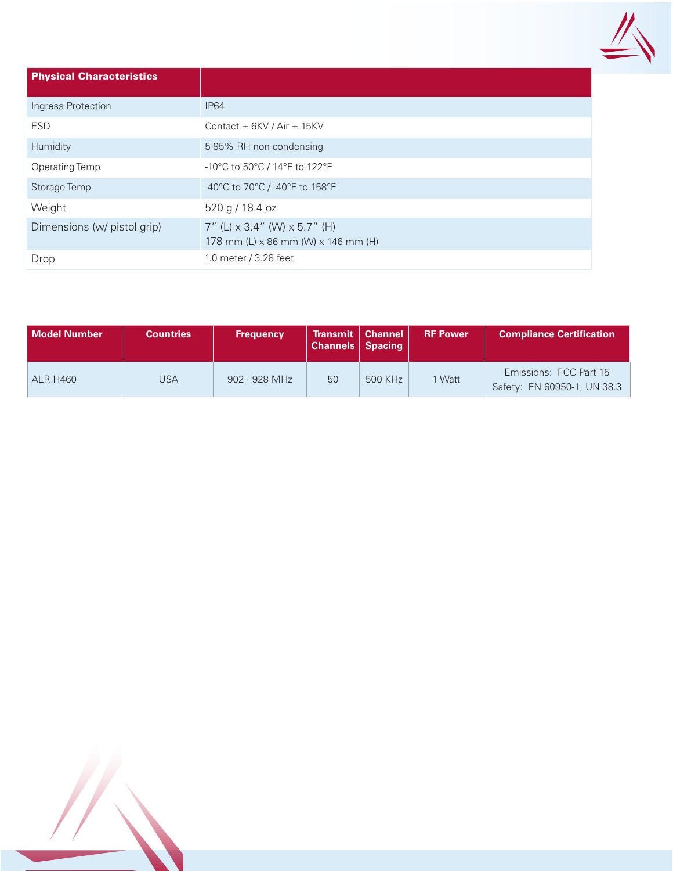

| <b>Physical Characteristics</b> |                                                                                                 |
|---------------------------------|-------------------------------------------------------------------------------------------------|
| Ingress Protection              | <b>IP64</b>                                                                                     |
| <b>ESD</b>                      | Contact $\pm$ 6KV / Air $\pm$ 15KV                                                              |
| Humidity                        | 5-95% RH non-condensing                                                                         |
| Operating Temp                  | -10°C to 50°C / 14°F to 122°F                                                                   |
| Storage Temp                    | -40°C to 70°C / -40°F to 158°F                                                                  |
| Weight                          | 520 g / 18.4 oz                                                                                 |
| Dimensions (w/ pistol grip)     | 7" (L) $\times$ 3.4" (W) $\times$ 5.7" (H)<br>178 mm (L) $\times$ 86 mm (W) $\times$ 146 mm (H) |
| Drop                            | 1.0 meter / 3.28 feet                                                                           |

| Model Number    | <b>Countries</b> | <b>Frequency</b> | <b>Transmit   Channel</b><br><b>Channels   Spacing</b> |         | <b>RF Power</b> | <b>Compliance Certification</b>                       |
|-----------------|------------------|------------------|--------------------------------------------------------|---------|-----------------|-------------------------------------------------------|
| <b>ALR-H460</b> | JSA              | 902 - 928 MHz    | 50                                                     | 500 KHz | 1 Watt          | Emissions: FCC Part 15<br>Safety: EN 60950-1, UN 38.3 |